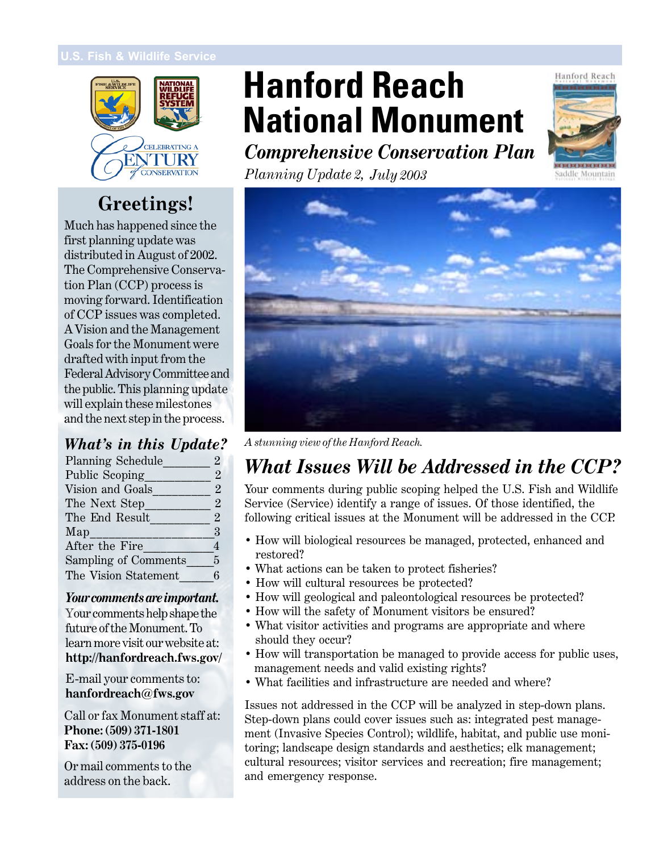

### **Greetings!**

Much has happened since the first planning update was distributed in August of 2002. The Comprehensive Conservation Plan (CCP) process is moving forward. Identification of CCP issues was completed. A Vision and the Management Goals for the Monument were drafted with input from the Federal Advisory Committee and the public. This planning update will explain these milestones and the next step in the process.

#### *What's in this Update?*

| Planning Schedule    | 2                     |
|----------------------|-----------------------|
| Public Scoping       | $\mathcal{P}_{\cdot}$ |
| Vision and Goals     | $\mathcal{P}$         |
| The Next Step        | $\mathcal{P}$         |
| The End Result       | $\overline{2}$        |
| Map                  | 3                     |
| After the Fire       | 4                     |
| Sampling of Comments | 5                     |
| The Vision Statement | 6                     |

#### *Your comments are important.*

Your comments help shape the future of the Monument. To learn more visit our website at: **http://hanfordreach.fws.gov/**

**In This Update hanfordreach@fws.gov** E-mail your comments to:

Call or fax Monument staff at: **Phone: (509) 371-1801**  $E_{\text{cav}}$  (F00) 975.01 **Fax:** (509) 375-0196

Or mail comments to the  $P = \frac{11}{11} + \frac{1}{11} + \frac{1}{11}$ ddress on the back.

# **Hanford Reach National Monument**

*Comprehensive Conservation Plan*



*Planning Update 2, July 2003*



*A stunning view of the Hanford Reach.*

### *What Issues Will be Addressed in the CCP?*

Your comments during public scoping helped the U.S. Fish and Wildlife Service (Service) identify a range of issues. Of those identified, the following critical issues at the Monument will be addressed in the CCP.

- How will biological resources be managed, protected, enhanced and restored?
- What actions can be taken to protect fisheries?
- How will cultural resources be protected?
- How will geological and paleontological resources be protected?
- How will the safety of Monument visitors be ensured?
- What visitor activities and programs are appropriate and where should they occur?
- How will transportation be managed to provide access for public uses, management needs and valid existing rights?
- What facilities and infrastructure are needed and where?

Issues not addressed in the CCP will be analyzed in step-down plans. Step-down plans could cover issues such as: integrated pest management (Invasive Species Control); wildlife, habitat, and public use monitoring; landscape design standards and aesthetics; elk management; cultural resources; visitor services and recreation; fire management; and emergency response.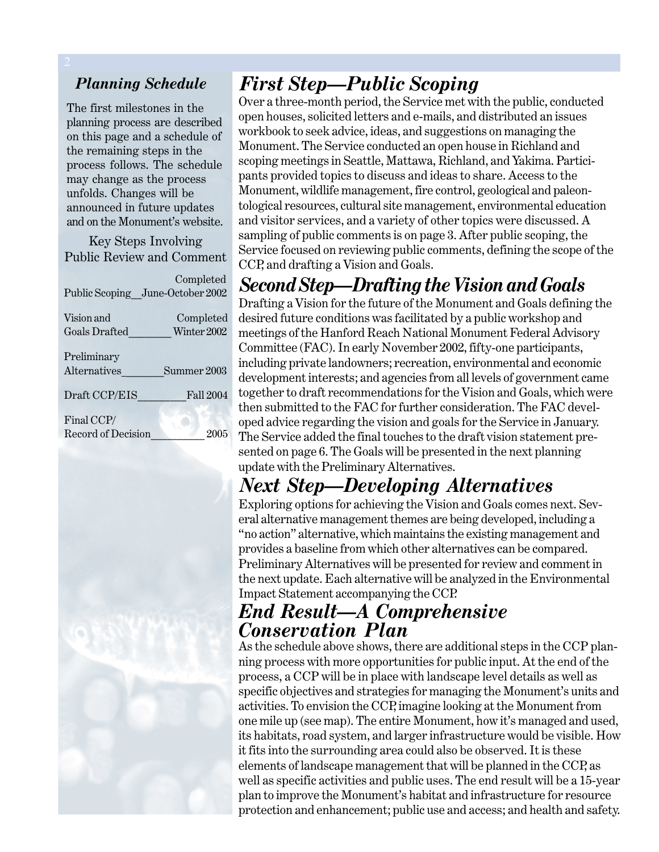#### *Planning Schedule*

The first milestones in the planning process are described on this page and a schedule of the remaining steps in the process follows. The schedule may change as the process unfolds. Changes will be announced in future updates and on the Monument's website.

Key Steps Involving Public Review and Comment

 Completed Public Scoping\_\_June-October 2002 Vision and Completed Goals Drafted Winter 2002 Preliminary Alternatives Summer 2003

Draft CCP/EIS Fall 2004

Final CCP/ Record of Decision 2005



### *First Step—Public Scoping*

Over a three-month period, the Service met with the public, conducted open houses, solicited letters and e-mails, and distributed an issues workbook to seek advice, ideas, and suggestions on managing the Monument. The Service conducted an open house in Richland and scoping meetings in Seattle, Mattawa, Richland, and Yakima. Participants provided topics to discuss and ideas to share. Access to the Monument, wildlife management, fire control, geological and paleontological resources, cultural site management, environmental education and visitor services, and a variety of other topics were discussed. A sampling of public comments is on page 3. After public scoping, the Service focused on reviewing public comments, defining the scope of the CCP, and drafting a Vision and Goals.

### *Second Step—Drafting the Vision and Goals*

Drafting a Vision for the future of the Monument and Goals defining the desired future conditions was facilitated by a public workshop and meetings of the Hanford Reach National Monument Federal Advisory Committee (FAC). In early November 2002, fifty-one participants, including private landowners; recreation, environmental and economic development interests; and agencies from all levels of government came together to draft recommendations for the Vision and Goals, which were then submitted to the FAC for further consideration. The FAC developed advice regarding the vision and goals for the Service in January. The Service added the final touches to the draft vision statement presented on page 6. The Goals will be presented in the next planning update with the Preliminary Alternatives.

### *Next Step—Developing Alternatives*

Exploring options for achieving the Vision and Goals comes next. Several alternative management themes are being developed, including a "no action" alternative, which maintains the existing management and provides a baseline from which other alternatives can be compared. Preliminary Alternatives will be presented for review and comment in the next update. Each alternative will be analyzed in the Environmental Impact Statement accompanying the CCP.

### *End Result—A Comprehensive Conservation Plan*

As the schedule above shows, there are additional steps in the CCP planning process with more opportunities for public input. At the end of the process, a CCP will be in place with landscape level details as well as specific objectives and strategies for managing the Monument's units and activities. To envision the CCP, imagine looking at the Monument from one mile up (see map). The entire Monument, how it's managed and used, its habitats, road system, and larger infrastructure would be visible. How it fits into the surrounding area could also be observed. It is these elements of landscape management that will be planned in the CCP, as well as specific activities and public uses. The end result will be a 15-year plan to improve the Monument's habitat and infrastructure for resource protection and enhancement; public use and access; and health and safety.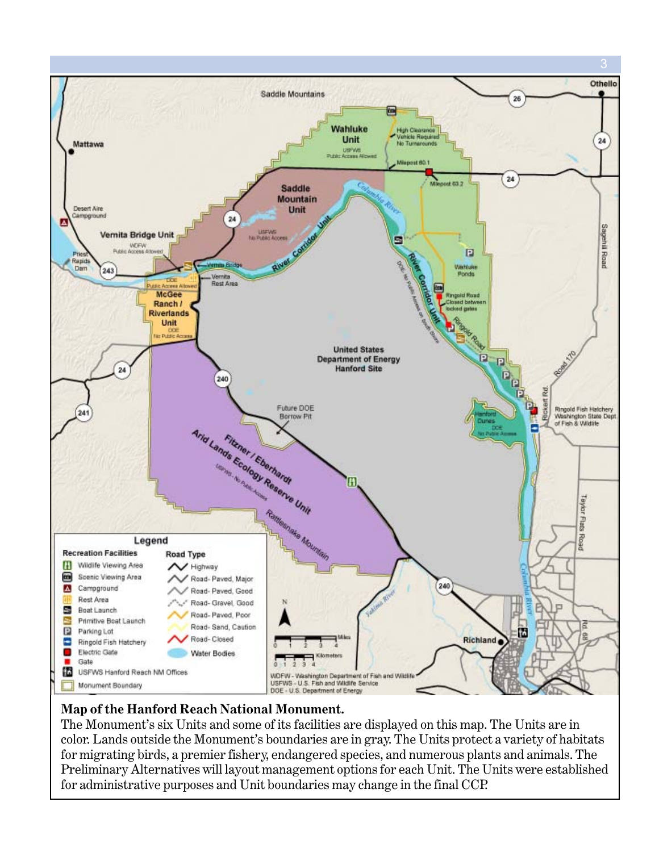

#### **Map of the Hanford Reach National Monument.**

The Monument's six Units and some of its facilities are displayed on this map. The Units are in color. Lands outside the Monument's boundaries are in gray. The Units protect a variety of habitats for migrating birds, a premier fishery, endangered species, and numerous plants and animals. The Preliminary Alternatives will layout management options for each Unit. The Units were established for administrative purposes and Unit boundaries may change in the final CCP.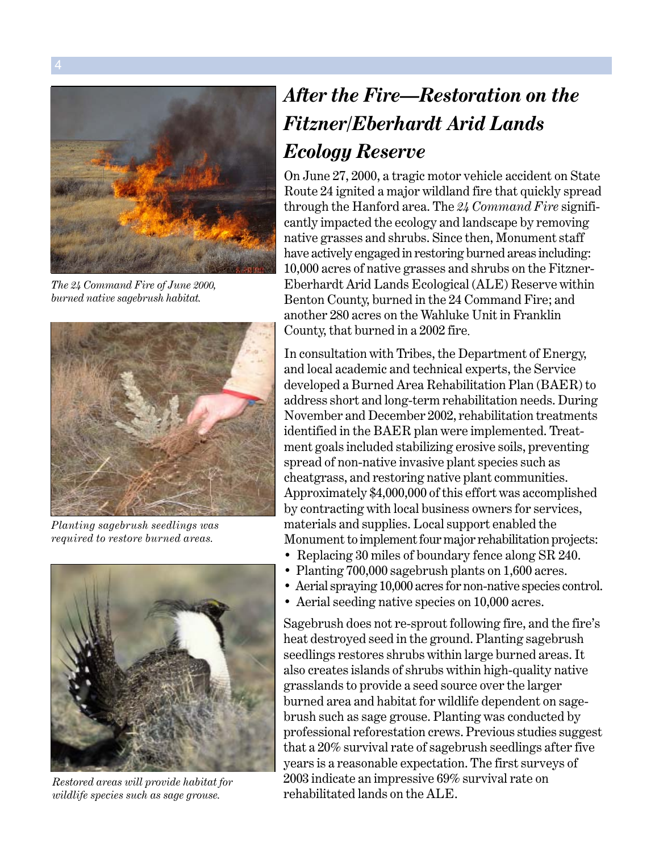

*The 24 Command Fire of June 2000, burned native sagebrush habitat.*



*Planting sagebrush seedlings was required to restore burned areas.*



*Restored areas will provide habitat for wildlife species such as sage grouse.*

### *After the Fire—Restoration on the Fitzner/Eberhardt Arid Lands Ecology Reserve*

On June 27, 2000, a tragic motor vehicle accident on State Route 24 ignited a major wildland fire that quickly spread through the Hanford area. The *24 Command Fire* significantly impacted the ecology and landscape by removing native grasses and shrubs. Since then, Monument staff have actively engaged in restoring burned areas including: 10,000 acres of native grasses and shrubs on the Fitzner-Eberhardt Arid Lands Ecological (ALE) Reserve within Benton County, burned in the 24 Command Fire; and another 280 acres on the Wahluke Unit in Franklin County, that burned in a 2002 fire.

In consultation with Tribes, the Department of Energy, and local academic and technical experts, the Service developed a Burned Area Rehabilitation Plan (BAER) to address short and long-term rehabilitation needs. During November and December 2002, rehabilitation treatments identified in the BAER plan were implemented. Treatment goals included stabilizing erosive soils, preventing spread of non-native invasive plant species such as cheatgrass, and restoring native plant communities. Approximately \$4,000,000 of this effort was accomplished by contracting with local business owners for services, materials and supplies. Local support enabled the Monument to implement four major rehabilitation projects:

- Replacing 30 miles of boundary fence along SR 240.
- Planting 700,000 sagebrush plants on 1,600 acres.
- Aerial spraying 10,000 acres for non-native species control.
- Aerial seeding native species on 10,000 acres.

Sagebrush does not re-sprout following fire, and the fire's heat destroyed seed in the ground. Planting sagebrush seedlings restores shrubs within large burned areas. It also creates islands of shrubs within high-quality native grasslands to provide a seed source over the larger burned area and habitat for wildlife dependent on sagebrush such as sage grouse. Planting was conducted by professional reforestation crews. Previous studies suggest that a 20% survival rate of sagebrush seedlings after five years is a reasonable expectation. The first surveys of 2003 indicate an impressive 69% survival rate on rehabilitated lands on the ALE.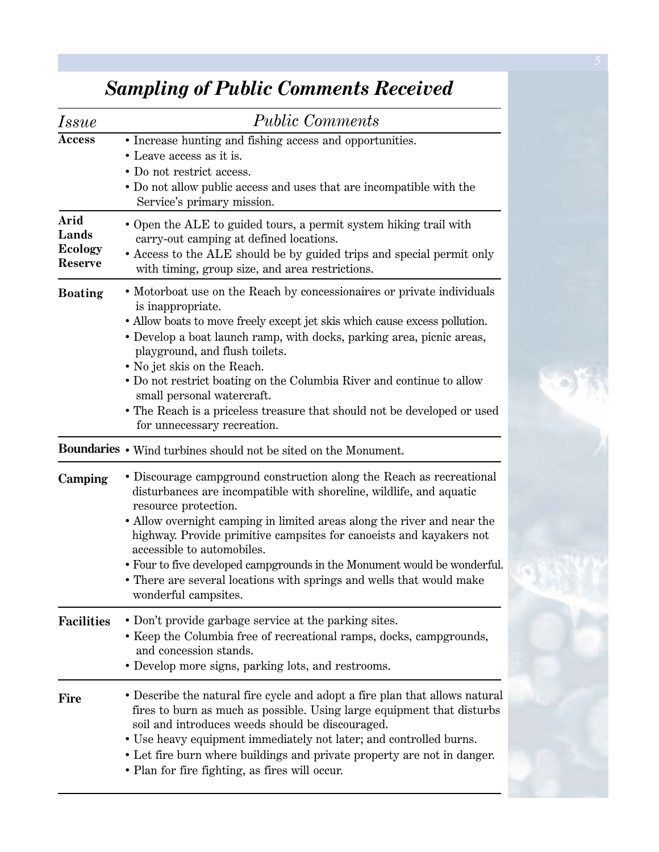| <i>Issue</i>                                      | <b>Public Comments</b>                                                                                                                                                                                                                                                                                                                                                                                                                                                                                                                |
|---------------------------------------------------|---------------------------------------------------------------------------------------------------------------------------------------------------------------------------------------------------------------------------------------------------------------------------------------------------------------------------------------------------------------------------------------------------------------------------------------------------------------------------------------------------------------------------------------|
| <b>Access</b>                                     | • Increase hunting and fishing access and opportunities.<br>• Leave access as it is.<br>• Do not restrict access.<br>• Do not allow public access and uses that are incompatible with the<br>Service's primary mission.                                                                                                                                                                                                                                                                                                               |
| Arid<br>Lands<br><b>Ecology</b><br><b>Reserve</b> | • Open the ALE to guided tours, a permit system hiking trail with<br>carry-out camping at defined locations.<br>• Access to the ALE should be by guided trips and special permit only<br>with timing, group size, and area restrictions.                                                                                                                                                                                                                                                                                              |
| <b>Boating</b>                                    | • Motorboat use on the Reach by concessionaires or private individuals<br>is inappropriate.<br>• Allow boats to move freely except jet skis which cause excess pollution.<br>• Develop a boat launch ramp, with docks, parking area, picnic areas,<br>playground, and flush toilets.<br>• No jet skis on the Reach.<br>• Do not restrict boating on the Columbia River and continue to allow<br>small personal watercraft.<br>• The Reach is a priceless treasure that should not be developed or used<br>for unnecessary recreation. |
|                                                   | Boundaries • Wind turbines should not be sited on the Monument.                                                                                                                                                                                                                                                                                                                                                                                                                                                                       |
| Camping                                           | • Discourage campground construction along the Reach as recreational<br>disturbances are incompatible with shoreline, wildlife, and aquatic<br>resource protection.<br>• Allow overnight camping in limited areas along the river and near the<br>highway. Provide primitive campsites for canoeists and kayakers not<br>accessible to automobiles.<br>• Four to five developed campgrounds in the Monument would be wonderful.<br>• There are several locations with springs and wells that would make<br>wonderful campsites.       |
| <b>Facilities</b>                                 | • Don't provide garbage service at the parking sites.<br>• Keep the Columbia free of recreational ramps, docks, campgrounds,<br>and concession stands.<br>• Develop more signs, parking lots, and restrooms.                                                                                                                                                                                                                                                                                                                          |
| <b>Fire</b>                                       | • Describe the natural fire cycle and adopt a fire plan that allows natural<br>fires to burn as much as possible. Using large equipment that disturbs<br>soil and introduces weeds should be discouraged.<br>• Use heavy equipment immediately not later; and controlled burns.<br>• Let fire burn where buildings and private property are not in danger.<br>• Plan for fire fighting, as fires will occur.                                                                                                                          |

## *Sampling of Public Comments Received*